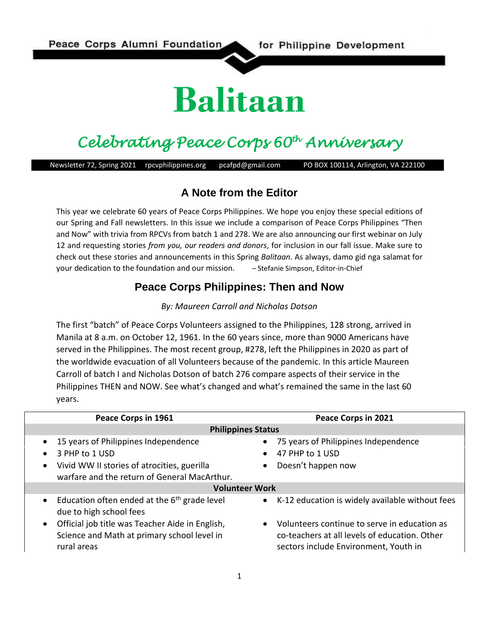# **Balitaan**

# *Celebrating Peace Corps 60th Anniversary*

Newsletter 72, Spring 2021 rpcvphilippines.org pcafpd@gmail.com PO BOX 100114, Arlington, VA 222100

#### **A Note from the Editor**

This year we celebrate 60 years of Peace Corps Philippines. We hope you enjoy these special editions of our Spring and Fall newsletters. In this issue we include a comparison of Peace Corps Philippines "Then and Now" with trivia from RPCVs from batch 1 and 278. We are also announcing our first webinar on July 12 and requesting stories *from you, our readers and donors*, for inclusion in our fall issue. Make sure to check out these stories and announcements in this Spring *Balitaan*. As always, damo gid nga salamat for your dedication to the foundation and our mission. – Stefanie Simpson, Editor-in-Chief

#### **Peace Corps Philippines: Then and Now**

#### *By: Maureen Carroll and Nicholas Dotson*

The first "batch" of Peace Corps Volunteers assigned to the Philippines, 128 strong, arrived in Manila at 8 a.m. on October 12, 1961. In the 60 years since, more than 9000 Americans have served in the Philippines. The most recent group, #278, left the Philippines in 2020 as part of the worldwide evacuation of all Volunteers because of the pandemic. In this article Maureen Carroll of batch I and Nicholas Dotson of batch 276 compare aspects of their service in the Philippines THEN and NOW. See what's changed and what's remained the same in the last 60 years.

| Peace Corps in 1961                                                                                                        | Peace Corps in 2021                                                                                                                      |
|----------------------------------------------------------------------------------------------------------------------------|------------------------------------------------------------------------------------------------------------------------------------------|
| <b>Philippines Status</b>                                                                                                  |                                                                                                                                          |
| 15 years of Philippines Independence<br>$\bullet$                                                                          | 75 years of Philippines Independence                                                                                                     |
| 3 PHP to 1 USD<br>$\bullet$                                                                                                | 47 PHP to 1 USD                                                                                                                          |
| Vivid WW II stories of atrocities, guerilla<br>$\bullet$<br>warfare and the return of General MacArthur.                   | Doesn't happen now                                                                                                                       |
| <b>Volunteer Work</b>                                                                                                      |                                                                                                                                          |
| Education often ended at the $6th$ grade level<br>$\bullet$<br>due to high school fees                                     | • K-12 education is widely available without fees                                                                                        |
| Official job title was Teacher Aide in English,<br>$\bullet$<br>Science and Math at primary school level in<br>rural areas | • Volunteers continue to serve in education as<br>co-teachers at all levels of education. Other<br>sectors include Environment, Youth in |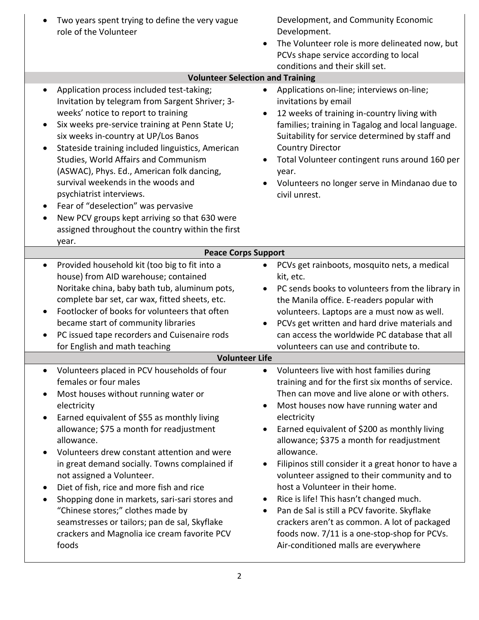| Two years spent trying to define the very vague<br>role of the Volunteer                                                                                                                                                                                                                                                                                                                                                                                                                                                                                                                                                                     | Development, and Community Economic<br>Development.<br>The Volunteer role is more delineated now, but<br>$\bullet$<br>PCVs shape service according to local<br>conditions and their skill set.                                                                                                                                                                                                                                                                                                                                                                                                                                                                                                                                           |
|----------------------------------------------------------------------------------------------------------------------------------------------------------------------------------------------------------------------------------------------------------------------------------------------------------------------------------------------------------------------------------------------------------------------------------------------------------------------------------------------------------------------------------------------------------------------------------------------------------------------------------------------|------------------------------------------------------------------------------------------------------------------------------------------------------------------------------------------------------------------------------------------------------------------------------------------------------------------------------------------------------------------------------------------------------------------------------------------------------------------------------------------------------------------------------------------------------------------------------------------------------------------------------------------------------------------------------------------------------------------------------------------|
| <b>Volunteer Selection and Training</b>                                                                                                                                                                                                                                                                                                                                                                                                                                                                                                                                                                                                      |                                                                                                                                                                                                                                                                                                                                                                                                                                                                                                                                                                                                                                                                                                                                          |
| Application process included test-taking;<br>$\bullet$<br>Invitation by telegram from Sargent Shriver; 3-<br>weeks' notice to report to training<br>Six weeks pre-service training at Penn State U;<br>$\bullet$<br>six weeks in-country at UP/Los Banos<br>Stateside training included linguistics, American<br>$\bullet$<br>Studies, World Affairs and Communism<br>(ASWAC), Phys. Ed., American folk dancing,<br>survival weekends in the woods and<br>psychiatrist interviews.<br>Fear of "deselection" was pervasive<br>New PCV groups kept arriving so that 630 were<br>٠<br>assigned throughout the country within the first<br>year. | Applications on-line; interviews on-line;<br>$\bullet$<br>invitations by email<br>12 weeks of training in-country living with<br>$\bullet$<br>families; training in Tagalog and local language.<br>Suitability for service determined by staff and<br><b>Country Director</b><br>Total Volunteer contingent runs around 160 per<br>year.<br>Volunteers no longer serve in Mindanao due to<br>civil unrest.                                                                                                                                                                                                                                                                                                                               |
| <b>Peace Corps Support</b>                                                                                                                                                                                                                                                                                                                                                                                                                                                                                                                                                                                                                   |                                                                                                                                                                                                                                                                                                                                                                                                                                                                                                                                                                                                                                                                                                                                          |
| Provided household kit (too big to fit into a<br>$\bullet$<br>house) from AID warehouse; contained<br>Noritake china, baby bath tub, aluminum pots,<br>complete bar set, car wax, fitted sheets, etc.<br>Footlocker of books for volunteers that often<br>became start of community libraries<br>PC issued tape recorders and Cuisenaire rods<br>for English and math teaching                                                                                                                                                                                                                                                               | PCVs get rainboots, mosquito nets, a medical<br>$\bullet$<br>kit, etc.<br>PC sends books to volunteers from the library in<br>$\bullet$<br>the Manila office. E-readers popular with<br>volunteers. Laptops are a must now as well.<br>PCVs get written and hard drive materials and<br>٠<br>can access the worldwide PC database that all<br>volunteers can use and contribute to.                                                                                                                                                                                                                                                                                                                                                      |
| <b>Volunteer Life</b>                                                                                                                                                                                                                                                                                                                                                                                                                                                                                                                                                                                                                        |                                                                                                                                                                                                                                                                                                                                                                                                                                                                                                                                                                                                                                                                                                                                          |
| Volunteers placed in PCV households of four<br>females or four males<br>Most houses without running water or<br>electricity<br>Earned equivalent of \$55 as monthly living<br>allowance; \$75 a month for readjustment<br>allowance.<br>Volunteers drew constant attention and were<br>in great demand socially. Towns complained if<br>not assigned a Volunteer.<br>Diet of fish, rice and more fish and rice<br>$\bullet$<br>Shopping done in markets, sari-sari stores and<br>$\bullet$<br>"Chinese stores;" clothes made by<br>seamstresses or tailors; pan de sal, Skyflake<br>crackers and Magnolia ice cream favorite PCV<br>foods    | Volunteers live with host families during<br>training and for the first six months of service.<br>Then can move and live alone or with others.<br>Most houses now have running water and<br>$\bullet$<br>electricity<br>Earned equivalent of \$200 as monthly living<br>٠<br>allowance; \$375 a month for readjustment<br>allowance.<br>Filipinos still consider it a great honor to have a<br>٠<br>volunteer assigned to their community and to<br>host a Volunteer in their home.<br>Rice is life! This hasn't changed much.<br>٠<br>Pan de Sal is still a PCV favorite. Skyflake<br>$\bullet$<br>crackers aren't as common. A lot of packaged<br>foods now. 7/11 is a one-stop-shop for PCVs.<br>Air-conditioned malls are everywhere |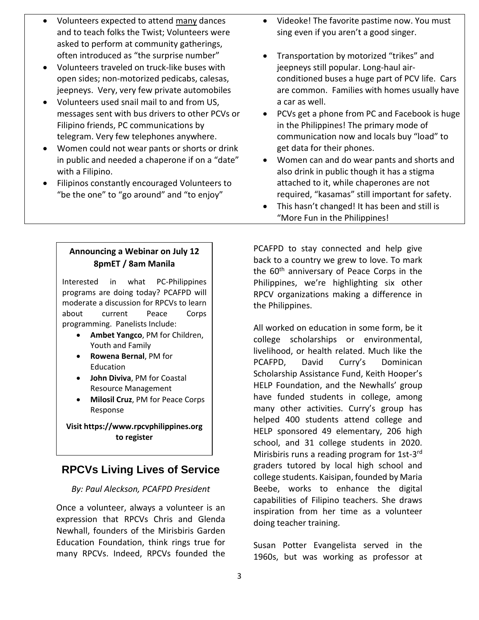- Volunteers expected to attend many dances and to teach folks the Twist; Volunteers were asked to perform at community gatherings, often introduced as "the surprise number" • Volunteers traveled on truck-like buses with open sides; non-motorized pedicabs, calesas, jeepneys. Very, very few private automobiles • Volunteers used snail mail to and from US, messages sent with bus drivers to other PCVs or Filipino friends, PC communications by telegram. Very few telephones anywhere. • Women could not wear pants or shorts or drink in public and needed a chaperone if on a "date" with a Filipino. • Filipinos constantly encouraged Volunteers to "be the one" to "go around" and "to enjoy" • Videoke! The favorite pastime now. You must sing even if you aren't a good singer. • Transportation by motorized "trikes" and jeepneys still popular. Long-haul airconditioned buses a huge part of PCV life. Cars are common. Families with homes usually have a car as well. • PCVs get a phone from PC and Facebook is huge in the Philippines! The primary mode of communication now and locals buy "load" to get data for their phones. • Women can and do wear pants and shorts and also drink in public though it has a stigma attached to it, while chaperones are not required, "kasamas" still important for safety.
	- This hasn't changed! It has been and still is "More Fun in the Philippines!

**Announcing a Webinar on July 12 8pmET / 8am Manila**

Interested in what PC-Philippines programs are doing today? PCAFPD will moderate a discussion for RPCVs to learn about current Peace Corps programming. Panelists Include:

- **Ambet Yangco**, PM for Children, Youth and Family
- **Rowena Bernal**, PM for Education
- **John Diviva**, PM for Coastal Resource Management
- **Milosil Cruz**, PM for Peace Corps Response

**Visit https://www.rpcvphilippines.org to register**

# **RPCVs Living Lives of Service**

#### *By: Paul Aleckson, PCAFPD President*

Once a volunteer, always a volunteer is an expression that RPCVs Chris and Glenda Newhall, founders of the Mirisbiris Garden Education Foundation, think rings true for many RPCVs. Indeed, RPCVs founded the

PCAFPD to stay connected and help give back to a country we grew to love. To mark the 60<sup>th</sup> anniversary of Peace Corps in the Philippines, we're highlighting six other RPCV organizations making a difference in the Philippines.

All worked on education in some form, be it college scholarships or environmental, livelihood, or health related. Much like the PCAFPD, David Curry's Dominican Scholarship Assistance Fund, Keith Hooper's HELP Foundation, and the Newhalls' group have funded students in college, among many other activities. Curry's group has helped 400 students attend college and HELP sponsored 49 elementary, 206 high school, and 31 college students in 2020. Mirisbiris runs a reading program for 1st-3<sup>rd</sup> graders tutored by local high school and college students. Kaisipan, founded by Maria Beebe, works to enhance the digital capabilities of Filipino teachers. She draws inspiration from her time as a volunteer doing teacher training.

Susan Potter Evangelista served in the 1960s, but was working as professor at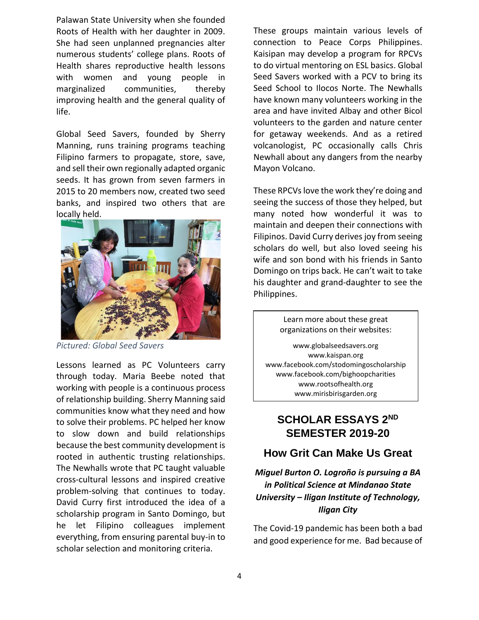Palawan State University when she founded Roots of Health with her daughter in 2009. She had seen unplanned pregnancies alter numerous students' college plans. Roots of Health shares reproductive health lessons with women and young people in marginalized communities, thereby improving health and the general quality of life.

Global Seed Savers, founded by Sherry Manning, runs training programs teaching Filipino farmers to propagate, store, save, and sell their own regionally adapted organic seeds. It has grown from seven farmers in 2015 to 20 members now, created two seed banks, and inspired two others that are locally held.



*Pictured: Global Seed Savers*

Lessons learned as PC Volunteers carry through today. Maria Beebe noted that working with people is a continuous process of relationship building. Sherry Manning said communities know what they need and how to solve their problems. PC helped her know to slow down and build relationships because the best community development is rooted in authentic trusting relationships. The Newhalls wrote that PC taught valuable cross-cultural lessons and inspired creative problem-solving that continues to today. David Curry first introduced the idea of a scholarship program in Santo Domingo, but he let Filipino colleagues implement everything, from ensuring parental buy-in to scholar selection and monitoring criteria.

These groups maintain various levels of connection to Peace Corps Philippines. Kaisipan may develop a program for RPCVs to do virtual mentoring on ESL basics. Global Seed Savers worked with a PCV to bring its Seed School to Ilocos Norte. The Newhalls have known many volunteers working in the area and have invited Albay and other Bicol volunteers to the garden and nature center for getaway weekends. And as a retired volcanologist, PC occasionally calls Chris Newhall about any dangers from the nearby Mayon Volcano.

These RPCVs love the work they're doing and seeing the success of those they helped, but many noted how wonderful it was to maintain and deepen their connections with Filipinos. David Curry derives joy from seeing scholars do well, but also loved seeing his wife and son bond with his friends in Santo Domingo on trips back. He can't wait to take his daughter and grand-daughter to see the Philippines.

> Learn more about these great organizations on their websites:

www.globalseedsavers.org www.kaispan.org www.facebook.com/stodomingoscholarship www.facebook.com/bighoopcharities www.rootsofhealth.org www.mirisbirisgarden.org

# **SCHOLAR ESSAYS 2ND SEMESTER 2019-20**

#### **How Grit Can Make Us Great**

#### *Miguel Burton O. Logroño is pursuing a BA in Political Science at Mindanao State University – Iligan Institute of Technology, Iligan City*

The Covid-19 pandemic has been both a bad and good experience for me. Bad because of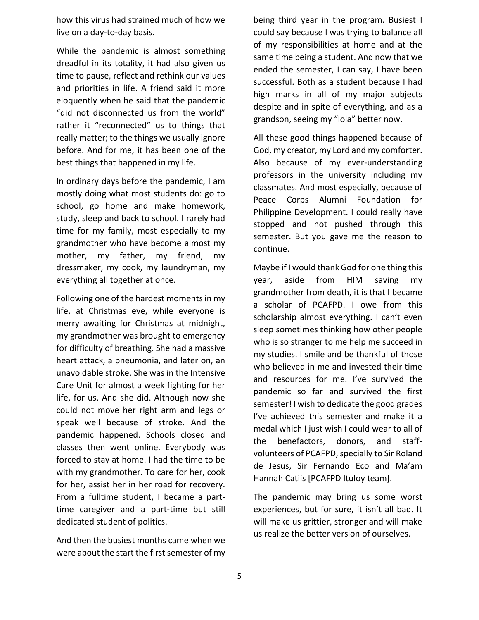how this virus had strained much of how we live on a day-to-day basis.

While the pandemic is almost something dreadful in its totality, it had also given us time to pause, reflect and rethink our values and priorities in life. A friend said it more eloquently when he said that the pandemic "did not disconnected us from the world" rather it "reconnected" us to things that really matter; to the things we usually ignore before. And for me, it has been one of the best things that happened in my life.

In ordinary days before the pandemic, I am mostly doing what most students do: go to school, go home and make homework, study, sleep and back to school. I rarely had time for my family, most especially to my grandmother who have become almost my mother, my father, my friend, my dressmaker, my cook, my laundryman, my everything all together at once.

Following one of the hardest moments in my life, at Christmas eve, while everyone is merry awaiting for Christmas at midnight, my grandmother was brought to emergency for difficulty of breathing. She had a massive heart attack, a pneumonia, and later on, an unavoidable stroke. She was in the Intensive Care Unit for almost a week fighting for her life, for us. And she did. Although now she could not move her right arm and legs or speak well because of stroke. And the pandemic happened. Schools closed and classes then went online. Everybody was forced to stay at home. I had the time to be with my grandmother. To care for her, cook for her, assist her in her road for recovery. From a fulltime student, I became a parttime caregiver and a part-time but still dedicated student of politics.

And then the busiest months came when we were about the start the first semester of my being third year in the program. Busiest I could say because I was trying to balance all of my responsibilities at home and at the same time being a student. And now that we ended the semester, I can say, I have been successful. Both as a student because I had high marks in all of my major subjects despite and in spite of everything, and as a grandson, seeing my "lola" better now.

All these good things happened because of God, my creator, my Lord and my comforter. Also because of my ever-understanding professors in the university including my classmates. And most especially, because of Peace Corps Alumni Foundation for Philippine Development. I could really have stopped and not pushed through this semester. But you gave me the reason to continue.

Maybe if I would thank God for one thing this year, aside from HIM saving my grandmother from death, it is that I became a scholar of PCAFPD. I owe from this scholarship almost everything. I can't even sleep sometimes thinking how other people who is so stranger to me help me succeed in my studies. I smile and be thankful of those who believed in me and invested their time and resources for me. I've survived the pandemic so far and survived the first semester! I wish to dedicate the good grades I've achieved this semester and make it a medal which I just wish I could wear to all of the benefactors, donors, and staffvolunteers of PCAFPD, specially to Sir Roland de Jesus, Sir Fernando Eco and Ma'am Hannah Catiis [PCAFPD Ituloy team].

The pandemic may bring us some worst experiences, but for sure, it isn't all bad. It will make us grittier, stronger and will make us realize the better version of ourselves.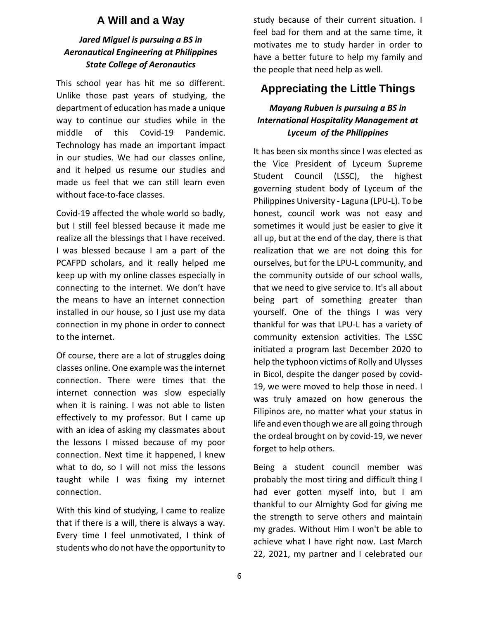#### **A Will and a Way**

#### *Jared Miguel is pursuing a BS in Aeronautical Engineering at Philippines State College of Aeronautics*

This school year has hit me so different. Unlike those past years of studying, the department of education has made a unique way to continue our studies while in the middle of this Covid-19 Pandemic. Technology has made an important impact in our studies. We had our classes online, and it helped us resume our studies and made us feel that we can still learn even without face-to-face classes.

Covid-19 affected the whole world so badly, but I still feel blessed because it made me realize all the blessings that I have received. I was blessed because I am a part of the PCAFPD scholars, and it really helped me keep up with my online classes especially in connecting to the internet. We don't have the means to have an internet connection installed in our house, so I just use my data connection in my phone in order to connect to the internet.

Of course, there are a lot of struggles doing classes online. One example was the internet connection. There were times that the internet connection was slow especially when it is raining. I was not able to listen effectively to my professor. But I came up with an idea of asking my classmates about the lessons I missed because of my poor connection. Next time it happened, I knew what to do, so I will not miss the lessons taught while I was fixing my internet connection.

With this kind of studying, I came to realize that if there is a will, there is always a way. Every time I feel unmotivated, I think of students who do not have the opportunity to

study because of their current situation. I feel bad for them and at the same time, it motivates me to study harder in order to have a better future to help my family and the people that need help as well.

## **Appreciating the Little Things**

#### *Mayang Rubuen is pursuing a BS in International Hospitality Management at Lyceum of the Philippines*

It has been six months since I was elected as the Vice President of Lyceum Supreme Student Council (LSSC), the highest governing student body of Lyceum of the Philippines University - Laguna (LPU-L). To be honest, council work was not easy and sometimes it would just be easier to give it all up, but at the end of the day, there is that realization that we are not doing this for ourselves, but for the LPU-L community, and the community outside of our school walls, that we need to give service to. It's all about being part of something greater than yourself. One of the things I was very thankful for was that LPU-L has a variety of community extension activities. The LSSC initiated a program last December 2020 to help the typhoon victims of Rolly and Ulysses in Bicol, despite the danger posed by covid-19, we were moved to help those in need. I was truly amazed on how generous the Filipinos are, no matter what your status in life and even though we are all going through the ordeal brought on by covid-19, we never forget to help others.

Being a student council member was probably the most tiring and difficult thing I had ever gotten myself into, but I am thankful to our Almighty God for giving me the strength to serve others and maintain my grades. Without Him I won't be able to achieve what I have right now. Last March 22, 2021, my partner and I celebrated our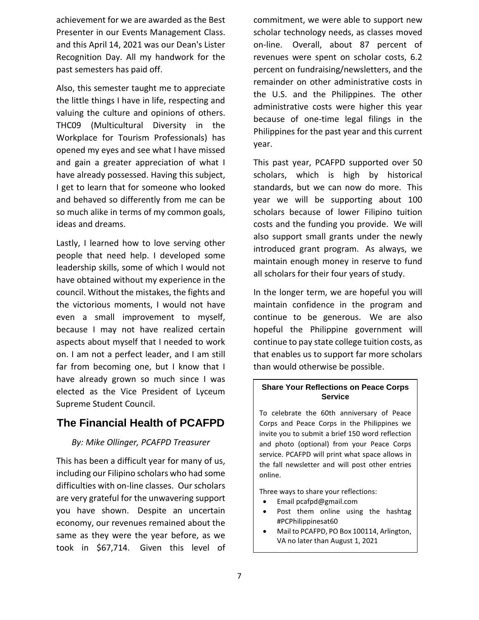achievement for we are awarded as the Best Presenter in our Events Management Class. and this April 14, 2021 was our Dean's Lister Recognition Day. All my handwork for the past semesters has paid off.

Also, this semester taught me to appreciate the little things I have in life, respecting and valuing the culture and opinions of others. THC09 (Multicultural Diversity in the Workplace for Tourism Professionals) has opened my eyes and see what I have missed and gain a greater appreciation of what I have already possessed. Having this subject, I get to learn that for someone who looked and behaved so differently from me can be so much alike in terms of my common goals, ideas and dreams.

Lastly, I learned how to love serving other people that need help. I developed some leadership skills, some of which I would not have obtained without my experience in the council. Without the mistakes, the fights and the victorious moments, I would not have even a small improvement to myself, because I may not have realized certain aspects about myself that I needed to work on. I am not a perfect leader, and I am still far from becoming one, but I know that I have already grown so much since I was elected as the Vice President of Lyceum Supreme Student Council.

# **The Financial Health of PCAFPD**

#### *By: Mike Ollinger, PCAFPD Treasurer*

This has been a difficult year for many of us, including our Filipino scholars who had some difficulties with on-line classes. Our scholars are very grateful for the unwavering support you have shown. Despite an uncertain economy, our revenues remained about the same as they were the year before, as we took in \$67,714. Given this level of

commitment, we were able to support new scholar technology needs, as classes moved on-line. Overall, about 87 percent of revenues were spent on scholar costs, 6.2 percent on fundraising/newsletters, and the remainder on other administrative costs in the U.S. and the Philippines. The other administrative costs were higher this year because of one-time legal filings in the Philippines for the past year and this current year.

This past year, PCAFPD supported over 50 scholars, which is high by historical standards, but we can now do more. This year we will be supporting about 100 scholars because of lower Filipino tuition costs and the funding you provide. We will also support small grants under the newly introduced grant program. As always, we maintain enough money in reserve to fund all scholars for their four years of study.

In the longer term, we are hopeful you will maintain confidence in the program and continue to be generous. We are also hopeful the Philippine government will continue to pay state college tuition costs, as that enables us to support far more scholars than would otherwise be possible.

#### **Share Your Reflections on Peace Corps Service**

To celebrate the 60th anniversary of Peace Corps and Peace Corps in the Philippines we invite you to submit a brief 150 word reflection and photo (optional) from your Peace Corps service. PCAFPD will print what space allows in the fall newsletter and will post other entries online.

Three ways to share your reflections:

- Email pcafpd@gmail.com
- Post them online using the hashtag #PCPhilippinesat60
- Mail to PCAFPD, PO Box 100114, Arlington, VA no later than August 1, 2021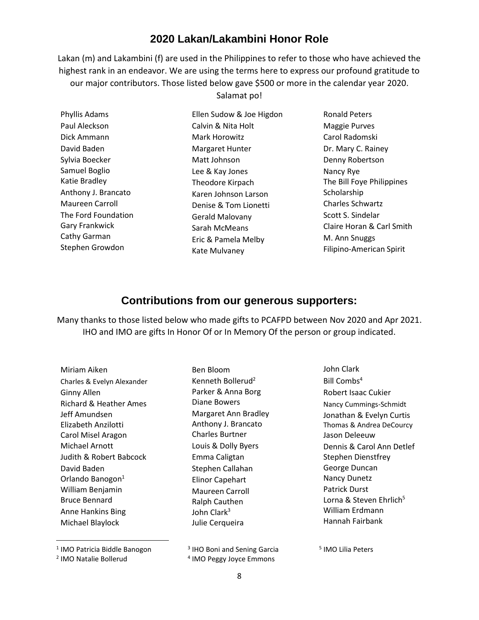## **2020 Lakan/Lakambini Honor Role**

Lakan (m) and Lakambini (f) are used in the Philippines to refer to those who have achieved the highest rank in an endeavor. We are using the terms here to express our profound gratitude to our major contributors. Those listed below gave \$500 or more in the calendar year 2020.

Salamat po!

Ellen Sudow & Joe Higdon

| Phyllis Adams       |
|---------------------|
| Paul Aleckson       |
| Dick Ammann         |
| David Baden         |
| Sylvia Boecker      |
| Samuel Boglio       |
| Katie Bradley       |
| Anthony J. Brancato |
| Maureen Carroll     |
| The Ford Foundation |
| Gary Frankwick      |
| Cathy Garman        |
| Stephen Growdon     |
|                     |

Calvin & Nita Holt Mark Horowitz Margaret Hunter Matt Johnson Lee & Kay Jones Theodore Kirpach Karen Johnson Larson Denise & Tom Lionetti Gerald Malovany Sarah McMeans Eric & Pamela Melby Kate Mulvaney

Ronald Peters Maggie Purves Carol Radomski Dr. Mary C. Rainey Denny Robertson Nancy Rye The Bill Foye Philippines **Scholarship** Charles Schwartz Scott S. Sindelar Claire Horan & Carl Smith M. Ann Snuggs Filipino-American Spirit

#### **Contributions from our generous supporters:**

Many thanks to those listed below who made gifts to PCAFPD between Nov 2020 and Apr 2021. IHO and IMO are gifts In Honor Of or In Memory Of the person or group indicated.

Miriam Aiken Charles & Evelyn Alexander Ginny Allen Richard & Heather Ames Jeff Amundsen Elizabeth Anzilotti Carol Misel Aragon Michael Arnott Judith & Robert Babcock David Baden Orlando Banogon<sup>1</sup> William Benjamin Bruce Bennard Anne Hankins Bing Michael Blaylock

Ben Bloom Kenneth Bollerud $2$ Parker & Anna Borg Diane Bowers Margaret Ann Bradley Anthony J. Brancato Charles Burtner Louis & Dolly Byers Emma Caligtan Stephen Callahan Elinor Capehart Maureen Carroll Ralph Cauthen John Clark $3$ Julie Cerqueira

<sup>1</sup> IMO Patricia Biddle Banogon

<sup>3</sup> IHO Boni and Sening Garcia

5 IMO Lilia Peters

4 IMO Peggy Joyce Emmons

John Clark Bill Combs $4$ 

Robert Isaac Cukier Nancy Cummings-Schmidt Jonathan & Evelyn Curtis Thomas & Andrea DeCourcy

Jason Deleeuw

Stephen Dienstfrey George Duncan Nancy Dunetz Patrick Durst

Dennis & Carol Ann Detlef

Lorna & Steven Ehrlich<sup>5</sup> William Erdmann Hannah Fairbank

<sup>2</sup> IMO Natalie Bollerud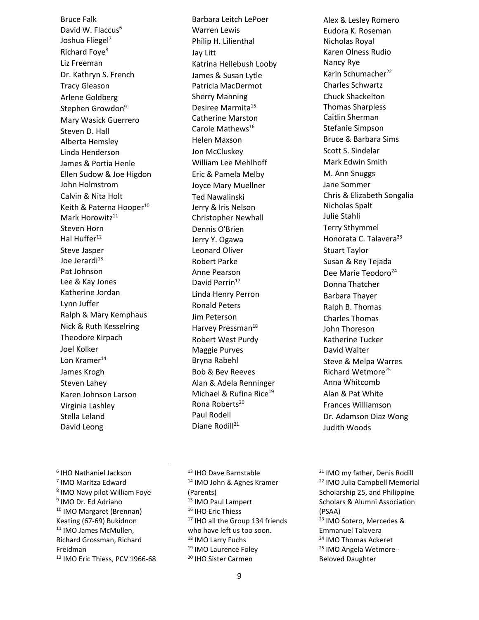Bruce Falk David W. Flaccus<sup>6</sup> Joshua Fliegel<sup>7</sup> Richard Foye<sup>8</sup> Liz Freeman Dr. Kathryn S. French Tracy Gleason Arlene Goldberg Stephen Growdon<sup>9</sup> Mary Wasick Guerrero Steven D. Hall Alberta Hemsley Linda Henderson James & Portia Henle Ellen Sudow & Joe Higdon John Holmstrom Calvin & Nita Holt Keith & Paterna Hooper<sup>10</sup> Mark Horowitz<sup>11</sup> Steven Horn Hal Huffer<sup>12</sup> Steve Jasper Joe Jerardi<sup>13</sup> Pat Johnson Lee & Kay Jones Katherine Jordan Lynn Juffer Ralph & Mary Kemphaus Nick & Ruth Kesselring Theodore Kirpach Joel Kolker Lon Kramer<sup>14</sup> James Krogh Steven Lahey Karen Johnson Larson Virginia Lashley Stella Leland David Leong

Barbara Leitch LePoer Warren Lewis Philip H. Lilienthal Jay Litt Katrina Hellebush Looby James & Susan Lytle Patricia MacDermot Sherry Manning Desiree Marmita<sup>15</sup> Catherine Marston Carole Mathews<sup>16</sup> Helen Maxson Jon McCluskey William Lee Mehlhoff Eric & Pamela Melby Joyce Mary Muellner Ted Nawalinski Jerry & Iris Nelson Christopher Newhall Dennis O'Brien Jerry Y. Ogawa Leonard Oliver Robert Parke Anne Pearson David Perrin<sup>17</sup> Linda Henry Perron Ronald Peters Jim Peterson Harvey Pressman<sup>18</sup> Robert West Purdy Maggie Purves Bryna Rabehl Bob & Bev Reeves Alan & Adela Renninger Michael & Rufina Rice<sup>19</sup> Rona Roberts<sup>20</sup> Paul Rodell Diane Rodill<sup>21</sup>

Alex & Lesley Romero Eudora K. Roseman Nicholas Royal Karen Olness Rudio Nancy Rye Karin Schumacher<sup>22</sup> Charles Schwartz Chuck Shackelton Thomas Sharpless Caitlin Sherman Stefanie Simpson Bruce & Barbara Sims Scott S. Sindelar Mark Edwin Smith M. Ann Snuggs Jane Sommer Chris & Elizabeth Songalia Nicholas Spalt Julie Stahli Terry Sthymmel Honorata C. Talavera<sup>23</sup> Stuart Taylor Susan & Rey Tejada Dee Marie Teodoro<sup>24</sup> Donna Thatcher Barbara Thayer Ralph B. Thomas Charles Thomas John Thoreson Katherine Tucker David Walter Steve & Melpa Warres Richard Wetmore<sup>25</sup> Anna Whitcomb Alan & Pat White Frances Williamson Dr. Adamson Diaz Wong Judith Woods

6 IHO Nathaniel Jackson 7 IMO Maritza Edward 8 IMO Navy pilot William Foye <sup>9</sup> IMO Dr. Ed Adriano <sup>10</sup> IMO Margaret (Brennan) Keating (67-69) Bukidnon <sup>11</sup> IMO James McMullen, Richard Grossman, Richard Freidman <sup>12</sup> IMO Eric Thiess, PCV 1966-68

<sup>13</sup> IHO Dave Barnstable <sup>14</sup> IMO John & Agnes Kramer (Parents) <sup>15</sup> IMO Paul Lampert <sup>16</sup> IHO Eric Thiess 17 IHO all the Group 134 friends who have left us too soon. <sup>18</sup> IMO Larry Fuchs <sup>19</sup> IMO Laurence Foley <sup>20</sup> IHO Sister Carmen

<sup>21</sup> IMO my father, Denis Rodill <sup>22</sup> IMO Julia Campbell Memorial Scholarship 25, and Philippine Scholars & Alumni Association (PSAA) <sup>23</sup> IMO Sotero, Mercedes & Emmanuel Talavera <sup>24</sup> IMO Thomas Ackeret <sup>25</sup> IMO Angela Wetmore - Beloved Daughter